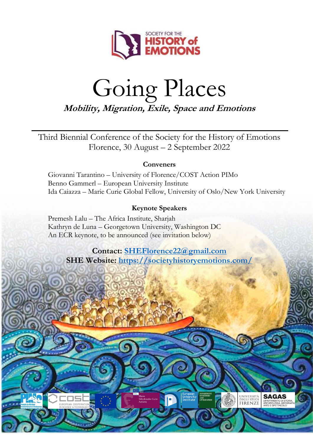

# Going Places **Mobility, Migration, Exile, Space and Emotions**

Third Biennial Conference of the Society for the History of Emotions Florence, 30 August – 2 September 2022

#### **Conveners**

Giovanni Tarantino – University of Florence/COST Action PIMo Benno Gammerl – European University Institute Ida Caiazza – Marie Curie Global Fellow, University of Oslo/New York University

## **Keynote Speakers**

Premesh Lalu – The Africa Institute, Sharjah Kathryn de Luna – Georgetown University, Washington DC An ECR keynote, to be announced (see invitation below)

> **Contact: [SHEFlorence22@gmail.com](mailto:SHEFlorence22@gmail.com) SHE Website:<https://societyhistoryemotions.com/>**

> > $\sqrt{2}$

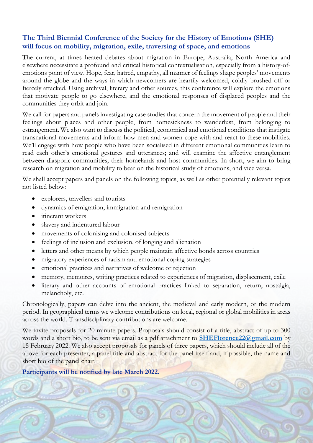## **The Third Biennial Conference of the Society for the History of Emotions (SHE) will focus on mobility, migration, exile, traversing of space, and emotions**

The current, at times heated debates about migration in Europe, Australia, North America and elsewhere necessitate a profound and critical historical contextualisation, especially from a history-ofemotions point of view. Hope, fear, hatred, empathy, all manner of feelings shape peoples' movements around the globe and the ways in which newcomers are heartily welcomed, coldly brushed off or fiercely attacked. Using archival, literary and other sources, this conference will explore the emotions that motivate people to go elsewhere, and the emotional responses of displaced peoples and the communities they orbit and join.

We call for papers and panels investigating case studies that concern the movement of people and their feelings about places and other people, from homesickness to wanderlust, from belonging to estrangement. We also want to discuss the political, economical and emotional conditions that instigate transnational movements and inform how men and women cope with and react to these mobilities. We'll engage with how people who have been socialised in different emotional communities learn to read each other's emotional gestures and utterances; and will examine the affective entanglement between diasporic communities, their homelands and host communities. In short, we aim to bring research on migration and mobility to bear on the historical study of emotions, and vice versa.

We shall accept papers and panels on the following topics, as well as other potentially relevant topics not listed below:

- explorers, travellers and tourists
- dynamics of emigration, immigration and remigration
- itinerant workers
- slavery and indentured labour
- movements of colonising and colonised subjects
- feelings of inclusion and exclusion, of longing and alienation
- letters and other means by which people maintain affective bonds across countries
- migratory experiences of racism and emotional coping strategies
- emotional practices and narratives of welcome or rejection
- memory, memoires, writing practices related to experiences of migration, displacement, exile
- literary and other accounts of emotional practices linked to separation, return, nostalgia, melancholy, etc.

Chronologically, papers can delve into the ancient, the medieval and early modern, or the modern period. In geographical terms we welcome contributions on local, regional or global mobilities in areas across the world. Transdisciplinary contributions are welcome.

We invite proposals for 20-minute papers. Proposals should consist of a title, abstract of up to 300 words and a short bio, to be sent via email as a pdf attachment to **[SHEFlorence22@gmail.com](mailto:SHEFlorence22@gmail.com)** by 15 February 2022. We also accept proposals for panels of three papers, which should include all of the above for each presenter, a panel title and abstract for the panel itself and, if possible, the name and short bio of the panel chair.

#### **Participants will be notified by late March 2022.**